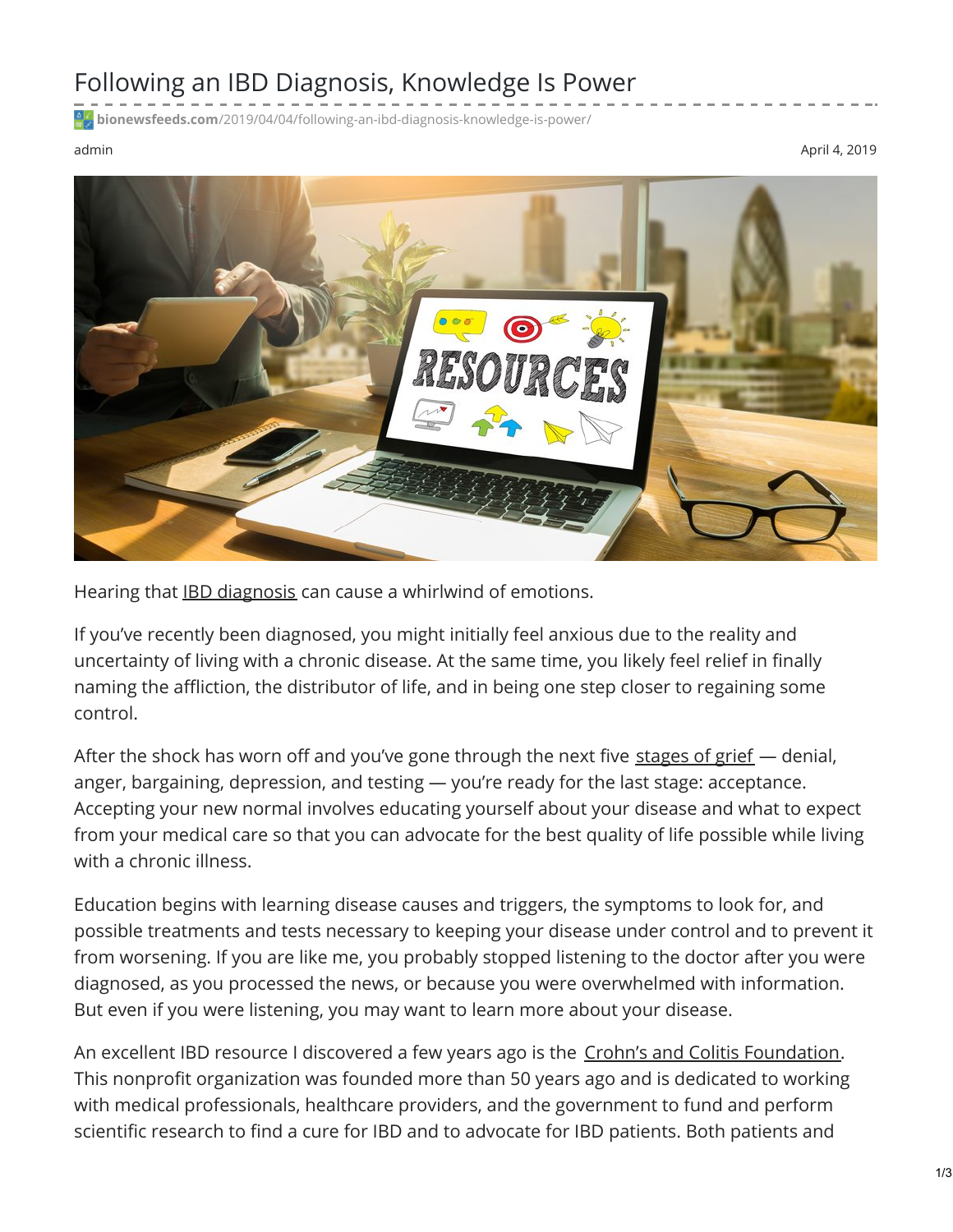## Following an IBD Diagnosis, Knowledge Is Power

**bionewsfeeds.com**[/2019/04/04/following-an-ibd-diagnosis-knowledge-is-power/](https://bionewsfeeds.com/2019/04/04/following-an-ibd-diagnosis-knowledge-is-power/)

admin April 4, 2019



Hearing that IBD [diagnosis](https://ibdnewstoday.com/ibd-diagnosis/) can cause a whirlwind of emotions.

If you've recently been diagnosed, you might initially feel anxious due to the reality and uncertainty of living with a chronic disease. At the same time, you likely feel relief in finally naming the affliction, the distributor of life, and in being one step closer to regaining some control.

After the shock has worn off and you've gone through the next five [stages](https://www.betterhelp.com/advice/grief/understanding-the-stages-of-grief/) of grief - denial, anger, bargaining, depression, and testing — you're ready for the last stage: acceptance. Accepting your new normal involves educating yourself about your disease and what to expect from your medical care so that you can advocate for the best quality of life possible while living with a chronic illness.

Education begins with learning disease causes and triggers, the symptoms to look for, and possible treatments and tests necessary to keeping your disease under control and to prevent it from worsening. If you are like me, you probably stopped listening to the doctor after you were diagnosed, as you processed the news, or because you were overwhelmed with information. But even if you were listening, you may want to learn more about your disease.

An excellent IBD resource I discovered a few years ago is the Crohn's and Colitis [Foundation](https://www.crohnscolitisfoundation.org/). This nonprofit organization was founded more than 50 years ago and is dedicated to working with medical professionals, healthcare providers, and the government to fund and perform scientific research to find a cure for IBD and to advocate for IBD patients. Both patients and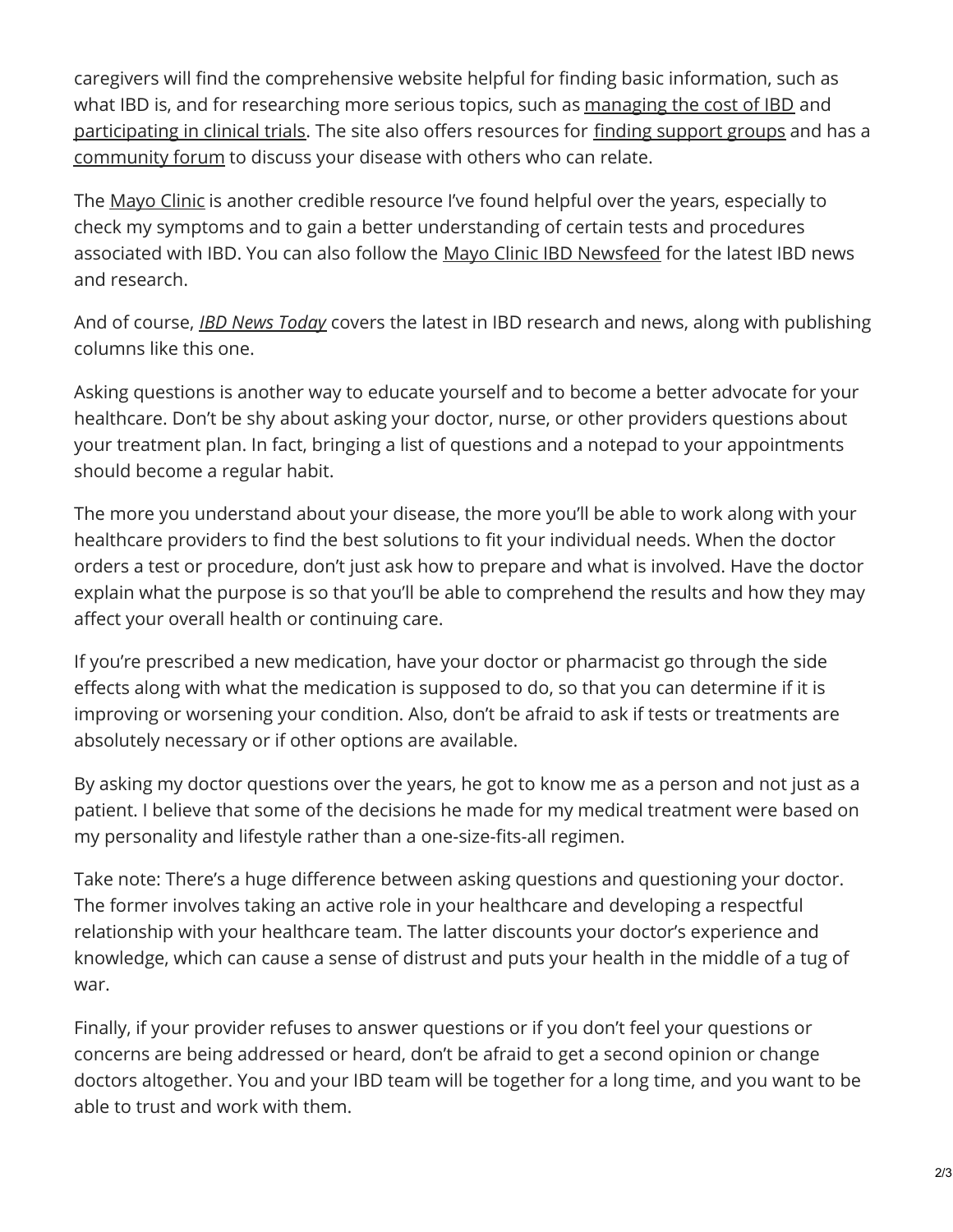caregivers will find the comprehensive website helpful for finding basic information, such as what IBD is, and for researching more serious topics, such as [managing](https://www.crohnscolitisfoundation.org/living-with-crohns-colitis/managing-the-cost-of-ibd/) the cost of IBD and [participating](https://trials.crohnscolitisfoundation.org/?_ga=2.227901469.1604677023.1554144611-1067955364.1553194027) in clinical trials. The site also offers resources for finding [support](https://www.crohnscolitisfoundation.org/living-with-crohns-colitis/find-a-support-group/) groups and has a [community](https://www.crohnscolitiscommunity.org/crohns-colitis-forum) forum to discuss your disease with others who can relate.

The [Mayo](https://www.mayoclinic.org/diseases-conditions/inflammatory-bowel-disease/symptoms-causes/syc-20353315) Clinic is another credible resource I've found helpful over the years, especially to check my symptoms and to gain a better understanding of certain tests and procedures associated with IBD. You can also follow the Mayo Clinic IBD [Newsfeed](https://connect.mayoclinic.org/page/gastroenterology-and-gi-surgery/tab/newsfeed/) for the latest IBD news and research.

And of course, *IBD News [Today](https://ibdnewstoday.com/)* covers the latest in IBD research and news, along with publishing columns like this one.

Asking questions is another way to educate yourself and to become a better advocate for your healthcare. Don't be shy about asking your doctor, nurse, or other providers questions about your treatment plan. In fact, bringing a list of questions and a notepad to your appointments should become a regular habit.

The more you understand about your disease, the more you'll be able to work along with your healthcare providers to find the best solutions to fit your individual needs. When the doctor orders a test or procedure, don't just ask how to prepare and what is involved. Have the doctor explain what the purpose is so that you'll be able to comprehend the results and how they may affect your overall health or continuing care.

If you're prescribed a new medication, have your doctor or pharmacist go through the side effects along with what the medication is supposed to do, so that you can determine if it is improving or worsening your condition. Also, don't be afraid to ask if tests or treatments are absolutely necessary or if other options are available.

By asking my doctor questions over the years, he got to know me as a person and not just as a patient. I believe that some of the decisions he made for my medical treatment were based on my personality and lifestyle rather than a one-size-fits-all regimen.

Take note: There's a huge difference between asking questions and questioning your doctor. The former involves taking an active role in your healthcare and developing a respectful relationship with your healthcare team. The latter discounts your doctor's experience and knowledge, which can cause a sense of distrust and puts your health in the middle of a tug of war.

Finally, if your provider refuses to answer questions or if you don't feel your questions or concerns are being addressed or heard, don't be afraid to get a second opinion or change doctors altogether. You and your IBD team will be together for a long time, and you want to be able to trust and work with them.